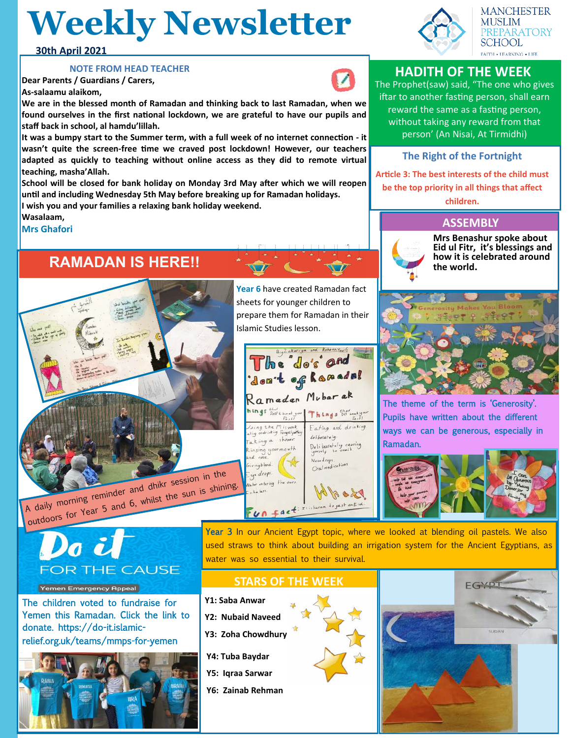# **Weekly Newsletter**

#### **30th April 2021**

#### **NOTE FROM HEAD TEACHER**

**Dear Parents / Guardians / Carers, As-salaamu alaikom,**

**We are in the blessed month of Ramadan and thinking back to last Ramadan, when we found ourselves in the first national lockdown, we are grateful to have our pupils and staff back in school, al hamdu'lillah.** 

**It was a bumpy start to the Summer term, with a full week of no internet connection - it wasn't quite the screen-free time we craved post lockdown! However, our teachers adapted as quickly to teaching without online access as they did to remote virtual teaching, masha'Allah.**

**School will be closed for bank holiday on Monday 3rd May after which we will reopen until and including Wednesday 5th May before breaking up for Ramadan holidays. I wish you and your families a relaxing bank holiday weekend.**

**Wasalaam,**

**Mrs Ghafori**

# **RAMADAN IS HERE!!**

A daily morning reminder and dhikr session in the outdoors for Year 5 and 6, whilst the sun is shining.

Do il **FOR THE CAUSE** 

#### Yemen Emergency Appeal

The children voted to fundraise for Yemen this Ramadan. Click the link to donate. https://do-it.islamicrelief.org.uk/teams/mmps-for-yemen



**Year 6** have created Ramadan fact sheets for younger children to prepare them for Ramadan in their Islamic Studies lesson.



Year 3 In our Ancient Egypt topic, where we looked at blending oil pastels. We also used straws to think about building an irrigation system for the Ancient Egyptians, as water was so essential to their survival.

#### **STARS OF THE WEEK**

- **Y1: Saba Anwar**
- **Y2: Nubaid Naveed**
- **Y3: Zoha Chowdhury**
- **Y4: Tuba Baydar**
- **Y5: Iqraa Sarwar**
- **Y6: Zainab Rehman**





# **HADITH OF THE WEEK**

The Prophet(saw) said, "The one who gives iftar to another fasting person, shall earn reward the same as a fasting person, without taking any reward from that person' (An Nisai, At Tirmidhi)

### **The Right of the Fortnight**

**Article 3: The best interests of the child must be the top priority in all things that affect** 

**children.**

### **ASSEMBLY**



**Mrs Benashur spoke about Eid ul Fitr, it's blessings and how it is celebrated around the world.**



The theme of the term is 'Generosity'. Pupils have written about the different ways we can be generous, especially in Ramadan.